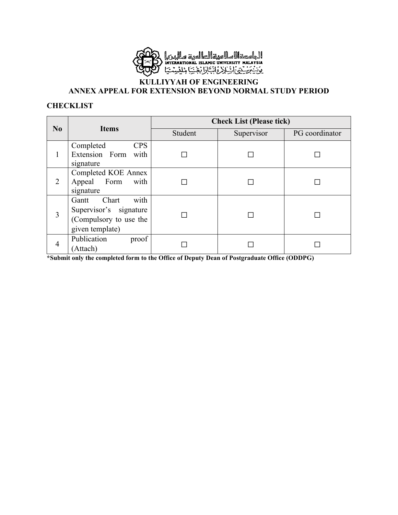

### **KULLIYYAH OF ENGINEERING ANNEX APPEAL FOR EXTENSION BEYOND NORMAL STUDY PERIOD**

#### **CHECKLIST**

|                |                                                                                               | <b>Check List (Please tick)</b> |            |                |  |  |  |  |
|----------------|-----------------------------------------------------------------------------------------------|---------------------------------|------------|----------------|--|--|--|--|
| N <sub>0</sub> | <b>Items</b>                                                                                  | Student                         | Supervisor | PG coordinator |  |  |  |  |
|                | <b>CPS</b><br>Completed<br>Extension Form with<br>signature                                   |                                 |            |                |  |  |  |  |
| 2              | Completed KOE Annex<br>Appeal Form<br>with<br>signature                                       |                                 |            |                |  |  |  |  |
| 3              | with<br>Chart<br>Gantt<br>Supervisor's signature<br>(Compulsory to use the<br>given template) |                                 |            |                |  |  |  |  |
| 4              | Publication<br>proof<br>(Attach)                                                              |                                 |            |                |  |  |  |  |

**\*Submit only the completed form to the Office of Deputy Dean of Postgraduate Office (ODDPG)**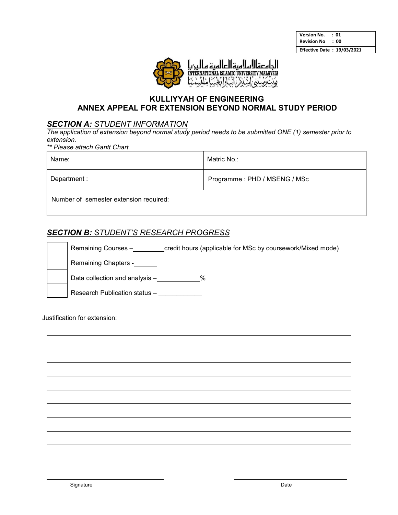| <b>Version No.</b>                | : 01 |
|-----------------------------------|------|
| <b>Revision No</b>                | : 00 |
| <b>Effective Date: 19/03/2021</b> |      |



## **KULLIYYAH OF ENGINEERING ANNEX APPEAL FOR EXTENSION BEYOND NORMAL STUDY PERIOD**

### *SECTION A: STUDENT INFORMATION*

*The application of extension beyond normal study period needs to be submitted ONE (1) semester prior to extension.* 

*\*\* Please attach Gantt Chart.*

| Name:                                  | Matric No.:                  |
|----------------------------------------|------------------------------|
| Department :                           | Programme: PHD / MSENG / MSc |
| Number of semester extension required: |                              |

## *SECTION B: STUDENT'S RESEARCH PROGRESS*

|  | Remaining Courses -<br>credit hours (applicable for MSc by coursework/Mixed mode) |
|--|-----------------------------------------------------------------------------------|
|  | Remaining Chapters -                                                              |
|  | Data collection and analysis -<br>%                                               |
|  | Research Publication status -                                                     |

Justification for extension: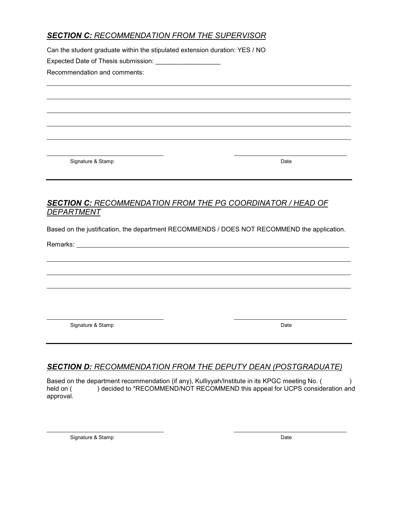# *SECTION C: RECOMMENDATION FROM THE SUPERVISOR*

Can the student graduate within the stipulated extension duration: YES / NO

Expected Date of Thesis submission:

Recommendation and comments:

Signature & Stamp Date by the Stamp Date of the Stamp Date of the Stamp Date of the Stamp Date of the Stamp Date

# *SECTION C: RECOMMENDATION FROM THE PG COORDINATOR / HEAD OF DEPARTMENT*

Based on the justification, the department RECOMMENDS / DOES NOT RECOMMEND the application.

Remarks:

Signature & Stamp Date by the Stamp Date of the Stamp Date of the Stamp Date of the Stamp Date of the Stamp Date

# *SECTION D: RECOMMENDATION FROM THE DEPUTY DEAN (POSTGRADUATE)*

Based on the department recommendation (if any), Kulliyyah/Institute in its KPGC meeting No. () held on () decided to \*RECOMMEND/NOT RECOMMEND this appeal for UCPS consideration and approval.

Signature & Stamp Date of the Stamp Date of the Stamp Date of the Stamp Date of the Stamp Date of the Stamp Date of the Stamp Date of the Stamp Date of the Stamp Date of the Stamp Date of the Stamp Date of the Stamp Date o